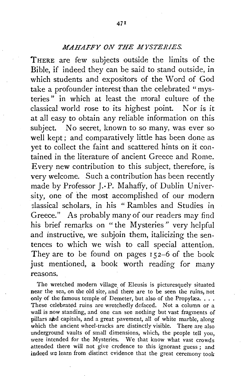## *MAHAFFY ON THE MYSTERIES.*

THERE are few subjects outside the limits of the Bible, if indeed they can be said to stand outside, in which students and expositors of the Word of God take a profounder interest than the celebrated "mysteries" in which at least the moral culture of the classical world rose to its highest point. Nor is it at all easy to obtain any reliable information on this subject. No secret, known to so many, was ever so well kept; and comparatively little has been done as yet to collect the faint and scattered hints on it contained in the literature of ancient Greece and Rome. Every new contribution to this subject, therefore, is very welcome. Such a contribution has been recently made by Professor J.·P. Mahaffy, of Dublin University, one of the most accomplished of our modern slassical scholars, in his " Rambles and Studies in Greece." As probably many of our readers may find his brief remarks on "the Mysteries" very helpful and instructive, we subjoin them, italicizing the sentences to which we wish to call special attention. They are to be found on pages 152-6 of the book just mentioned, a book worth reading for many reasons.

The wretched modern village of Eleusis is picturesquely situated near the sea, on the old site, and there are to be seen the ruins, not only of the famous temple of Demeter, but also of the Propylæa... These celebrated ruins are wretchedly defaced. Not a column or a wall is now standing, and one can see nothing but vast fragments of pillars and capitals, and a great pavement, all of white marble, along which the ancient wheel-tracks are distinctly visible. There are also underground vaults of small dimensions, which, the people tell you, were intended for the Mysteries. We that know what vast crowds attended there will not give credence to this ignorant guess ; and indeed we learn from distinct evidence that the great ceremony took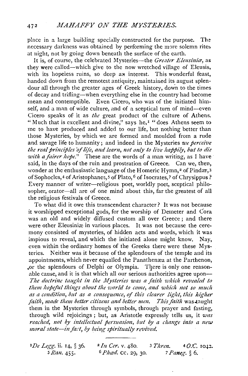place in a large building specially constructed for the purpose. The necessary darkness was obtained by performing the more solemn rites at night, not by going down beneath the surface of the earth.

It is, of course, the celebrated Mysteries—the *Greater Eleusinia*, as they were called-which give to the now wretched village of Eleusis, with its hopeiess ruins, so deep an interest. This wonderful feast, handed down from the remotest antiquity, maintained its august splendour all through the greater ages of Greek history, down to the times of decay and trifling--when everything else in the country had become mean and contemptible. Even Cicero, who was of the initiated himself, and a man of wide culture, and of a sceptical turn of mind-even Cicero speaks of it as *the* great product of the culture of Athens. "Much that is excellent and divine," says he,<sup>1</sup> "does Athens seem to me to have produced and added to our life, but nothing better than those Mysteries, by which we are formed and moulded from a rude and savage life to humanity; and indeed in the Mysteries *we perceive the real principles of life, and leam, not only to live happily, but to die with a fairer hobe.*" These are the words of a man writing, as I have said, in the days of the ruin and prostration of Greece. Can we, then, wonder at the enthusiastic language of the Homeric Hymn.<sup>2</sup> of Pindar, 3 of Sophocles,<sup>4</sup> of Aristophanes,<sup>5</sup> of Plato, <sup>6</sup> of Isocrates, <sup>7</sup> of Chrysippus ? Every manner of writer-religious poet, worldly poet, sceptical philosopher, orator-all are of one mind about this, far the greatest of all the religious festivals of Greece.

To what did it owe this transcendent character? It was not because it worshipped exceptional gods, for the worship of Demeter and Cora was an old and widely diffused custom all over Greece ; and there were other Eleusiniæ in various places. It was not because the ceremony consisted of mysteries, of hidden acts and words, which it was impious to reveal, and which the initiated alone might know. Nay, even within the ordinary homes of the Greeks there were these Mysteries. Neither was it because of the splendours of the temple and its appointments, which never equalled the Panathemea at the Parthenon, or the splendours of Delphi or Olympia. There is only one reasonable cause, and it is that which all our serious authorities agree upon— The doctrine taught in the Mysteries was a faith which revealed to them hopeful things about the world to come, and which not so much as a condition, but as a consequence, of this clearer light, this higher *faith, made them better citizens and better men. This faith was* taught them in the Mysteries through symbols, through prayer and fasting, through wild rejoicings ; but, as Aristotle expressly tells us, it *was reaclted, not by intellectual persuasion, but by a change into a new moral state--in fad, by being spiritually revived.* 

*De Legg.* ii. 14, § 36. 5 *Ran.* 455·

<sup>2</sup>*In Cer.* v. 480. <sup>6</sup>*Pha:d.* cc. 29, 30. 3 Thren. **4 O.C.** 1042. *7 P ane.g-.* § 6.